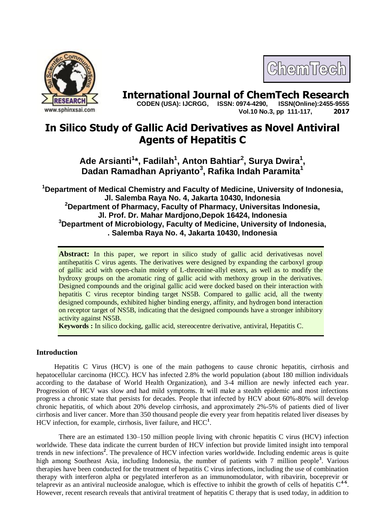



**International Journal of ChemTech Research <br>CODEN (USA): IJCRGG. ISSN: 0974-4290. ISSN(Online):2455-9555 CODEN (USA): IJCRGG, ISSN: 0974-4290, Vol.10 No.3, pp 111-117, 2017**

# **In Silico Study of Gallic Acid Derivatives as Novel Antiviral Agents of Hepatitis C**

**Ade Arsianti<sup>1</sup> \*, Fadilah<sup>1</sup> , Anton Bahtiar<sup>2</sup> , Surya Dwira<sup>1</sup> , Dadan Ramadhan Apriyanto<sup>3</sup> , Rafika Indah Paramita<sup>1</sup>**

**<sup>1</sup>Department of Medical Chemistry and Faculty of Medicine, University of Indonesia, Jl. Salemba Raya No. 4, Jakarta 10430, Indonesia <sup>2</sup>Department of Pharmacy, Faculty of Pharmacy, Universitas Indonesia, Jl. Prof. Dr. Mahar Mardjono,Depok 16424, Indonesia <sup>3</sup>Department of Microbiology, Faculty of Medicine, University of Indonesia, . Salemba Raya No. 4, Jakarta 10430, Indonesia**

Abstract: In this paper, we report in silico study of gallic acid derivatives as novel antihepatitis C virus agents. The derivatives were designed by expanding the carboxyl group of gallic acid with open-chain moiety of L-threonine-allyl esters, as well as to modify the hydroxy groups on the aromatic ring of gallic acid with methoxy group in the derivatives. Designed compounds and the original gallic acid were docked based on their interaction with hepatitis C virus receptor binding target NS5B. Compared to gallic acid, all the twenty designed compounds, exhibited higher binding energy, affinity, and hydrogen bond interaction on receptor target of NS5B, indicating that the designed compounds have a stronger inhibitory activity against NS5B.

**Keywords :** In silico docking, gallic acid, stereocentre derivative, antiviral, Hepatitis C.

## **Introduction**

Hepatitis C Virus (HCV) is one of the main pathogens to cause chronic hepatitis, cirrhosis and hepatocellular carcinoma (HCC). HCV has infected 2.8% the world population (about 180 million individuals according to the database of World Health Organization), and 3-4 million are newly infected each year. Progression of HCV was slow and had mild symptoms. It will make a stealth epidemic and most infections progress a chronic state that persists for decades. People that infected by HCV about 60%-80% will develop chronic hepatitis, of which about 20% develop cirrhosis, and approximately 2%-5% of patients died of liver cirrhosis and liver cancer. More than 350 thousand people die every year from hepatitis related liver diseases by HCV infection, for example, cirrhosis, liver failure, and HCC**<sup>1</sup>** .

There are an estimated 130–150 million people living with chronic hepatitis C virus (HCV) infection worldwide. These data indicate the current burden of HCV infection but provide limited insight into temporal trends in new infections**<sup>2</sup>** . The prevalence of HCV infection varies worldwide. Including endemic areas is quite high among Southeast Asia, including Indonesia, the number of patients with 7 million people**<sup>3</sup>** . Various therapies have been conducted for the treatment of hepatitis C virus infections, including the use of combination therapy with interferon alpha or pegylated interferon as an immunomodulator, with ribavirin, boceprevir or telaprevir as an antiviral nucleoside analogue, which is effective to inhibit the growth of cells of hepatitis C<sup>46</sup>. However, recent research reveals that antiviral treatment of hepatitis C therapy that is used today, in addition to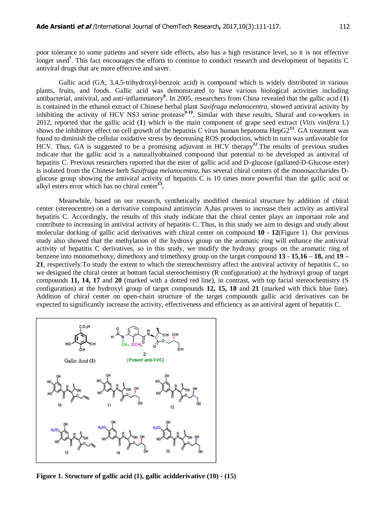poor tolerance to some patients and severe side effects, also has a high resistance level, so it is not effective longer used<sup>7</sup>. This fact encourages the efforts to continue to conduct research and development of hepatitis C antiviral drugs that are more effective and saver.

Gallic acid (GA; 3,4,5-trihydroxyl-benzoic acid) is compound which is widely distributed in various plants, fruits, and foods. Gallic acid was demonstrated to have various biological activities including antibacterial, antiviral, and anti-inflammatory**<sup>8</sup>** . In 2005, researchers from China revealed that the gallic acid (**1**) is contained in the ethanol extract of Chinese herbal plant *Saxifraga melanocentra*, showed antiviral activity by inhibiting the activity of HCV NS3 serine protease<sup>9-10</sup>. Similar with these results, Sharaf and co-workers in 2012, reported that the gallic acid (**1**) which is the main component of grape seed extract (*Vitis vinifera* L) shows the inhibitory effect on cell growth of the hepatitis C virus human hepatoma  $\text{HepG2}^{11}$ . GA treatment was found to diminish the cellular oxidative stress by decreasing ROS production, which in turn was unfavorable for HCV. Thus, GA is suggested to be a promising adjuvant in HCV therapy**<sup>12</sup>** .The results of previous studies indicate that the gallic acid is a naturallyobtained compound that potential to be developed as antiviral of hepatitis C. Previous researchers reported that the ester of gallic acid and D-glucose (gallated-D-Glucose ester) is isolated from the Chinese herb *Saxifraga melanocentra*, has several chiral centers of the monosaccharides Dglucose group showing the antiviral activity of hepatitis C is 10 times more powerful than the gallic acid or alkyl esters error which has no chiral center<sup>13</sup>.

Meanwhile, based on our research, synthetically modified chemical structure by addition of chiral center (stereocentre) on a derivative compound antimycin  $A_3$ has proven to increase their activity as antiviral hepatitis C. Accordingly, the results of this study indicate that the chiral center plays an important role and contribute to increasing in antiviral activity of hepatitis C. Thus, in this study we aim to design and study about molecular docking of gallic acid derivatives with chiral center on compound **10 - 12**(Figure 1). Our previous study also showed that the methylation of the hydroxy group on the aromatic ring will enhance the antiviral activity of hepatitis C derivatives, so in this study, we modify the hydroxy groups on the aromatic ring of benzene into monomethoxy, dimethoxy and trimethoxy group on the target compound **13 - 15**,**16 – 18,** and **19 – 21**, respectively.To study the extent to which the stereochemistry affect the antiviral activity of hepatitis C, so we designed the chiral center at bottom facial stereochemistry (R configuration) at the hydroxyl group of target compounds **11, 14, 17** and **20** (marked with a dotted red line), in contrast, with top facial stereochemistry (S configuration) at the hydroxyl group of target compounds **12, 15, 18** and **21** (marked with thick blue line). Addition of chiral center on open-chain structure of the target compounds gallic acid derivatives can be expected to significantly increase the activity, effectiveness and efficiency as an antiviral agent of hepatitis C.



**Figure 1. Structure of gallic acid (1), gallic acidderivative (10) - (15)**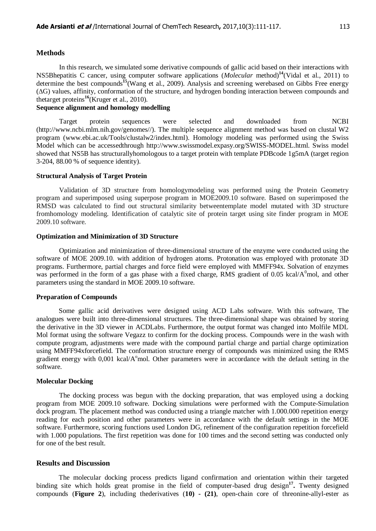#### **Methods**

In this research, we simulated some derivative compounds of gallic acid based on their interactions with NS5Bhepatitis C cancer, using computer software applications (*Molecular* method)**<sup>14</sup>**(Vidal et al., 2011) to determine the best compounds**<sup>15</sup>**(Wang et al., 2009). Analysis and screening werebased on Gibbs Free energy (∆G) values, affinity, conformation of the structure, and hydrogen bonding interaction between compounds and thetarget proteins**<sup>16</sup>**(Kruger et al., 2010).

## **Sequence alignment and homology modelling**

Target protein sequences were selected and downloaded from NCBI [\(http://www.ncbi.mlm.nih.gov/genomes//\)](http://www.ncbi.mlm.nih.gov/genomes/). The multiple sequence alignment method was based on clustal W2 program [\(www.ebi.ac.uk/Tools/clustalw2/index.html\)](http://www.ebi.ac.uk/Tools/clustalw2/index.html). Homology modeling was performed using the Swiss Model which can be accessedthrough [http://www.swissmodel.expasy.org/SWISS-MODEL.html.](http://www.swissmodel.expasy.org/SWISS-MODEL.html) Swiss model showed that NS5B has structurallyhomologous to a target protein with template PDBcode 1g5mA (target region 3-204, 88.00 % of sequence identity).

## **Structural Analysis of Target Protein**

Validation of 3D structure from homologymodeling was performed using the Protein Geometry program and superimposed using superpose program in MOE2009.10 software. Based on superimposed the RMSD was calculated to find out structural similarity betweentemplate model mutated with 3D structure fromhomology modeling. Identification of catalytic site of protein target using site finder program in MOE 2009.10 software.

#### **Optimization and Minimization of 3D Structure**

Optimization and minimization of three-dimensional structure of the enzyme were conducted using the software of MOE 2009.10. with addition of hydrogen atoms. Protonation was employed with protonate 3D programs. Furthermore, partial charges and force field were employed with MMFF94x. Solvation of enzymes was performed in the form of a gas phase with a fixed charge, RMS gradient of 0.05 kcal/ $A<sup>0</sup>$ mol, and other parameters using the standard in MOE 2009.10 software.

#### **Preparation of Compounds**

Some gallic acid derivatives were designed using ACD Labs software. With this software, The analogues were built into three-dimensional structures. The three-dimensional shape was obtained by storing the derivative in the 3D viewer in ACDLabs. Furthermore, the output format was changed into Molfile MDL Mol format using the software Vegazz to confirm for the docking process. Compounds were in the wash with compute program, adjustments were made with the compound partial charge and partial charge optimization using MMFF94xforcefield. The conformation structure energy of compounds was minimized using the RMS gradient energy with  $0.001$  kcal/A $^{\circ}$ mol. Other parameters were in accordance with the default setting in the software.

#### **Molecular Docking**

The docking process was begun with the docking preparation, that was employed using a docking program from MOE 2009.10 software. Docking simulations were performed with the Compute-Simulation dock program. The placement method was conducted using a triangle matcher with 1.000.000 repetition energy reading for each position and other parameters were in accordance with the default settings in the MOE software. Furthermore, scoring functions used London DG, refinement of the configuration repetition forcefield with 1.000 populations. The first repetition was done for 100 times and the second setting was conducted only for one of the best result.

## **Results and Discussion**

The molecular docking process predicts ligand confirmation and orientation within their targeted binding site which holds great promise in the field of computer-based drug design**<sup>17</sup> .** Twenty designed compounds (**Figure 2**), including thederivatives (**10) - (21)**, open-chain core of threonine-allyl-ester as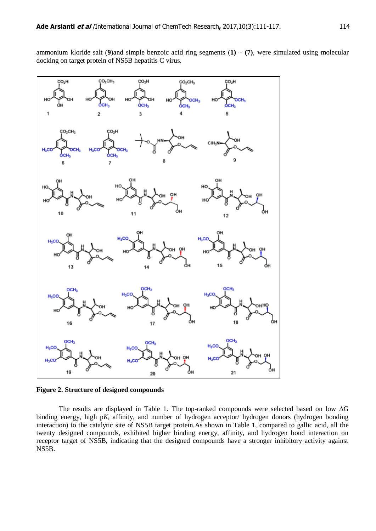ammonium kloride salt (**9**)and simple benzoic acid ring segments (**1) – (7)**, were simulated using molecular docking on target protein of NS5B hepatitis C virus.



**Figure 2. Structure of designed compounds**

The results are displayed in Table 1. The top-ranked compounds were selected based on low ∆G binding energy, high p $K_i$  affinity, and number of hydrogen acceptor/ hydrogen donors (hydrogen bonding interaction) to the catalytic site of NS5B target protein.As shown in Table 1, compared to gallic acid, all the twenty designed compounds, exhibited higher binding energy, affinity, and hydrogen bond interaction on receptor target of NS5B, indicating that the designed compounds have a stronger inhibitory activity against NS5B.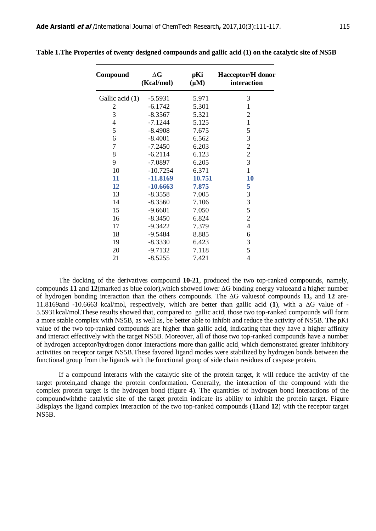| Compound        | $\Delta G$<br>(Kcal/mol) | pKi<br>$(\mu M)$ | <b>Hacceptor/H</b> donor<br>interaction |
|-----------------|--------------------------|------------------|-----------------------------------------|
| Gallic acid (1) | $-5.5931$                | 5.971            | 3                                       |
| $\overline{2}$  | $-6.1742$                | 5.301            | $\mathbf{1}$                            |
| 3               | $-8.3567$                | 5.321            | $\overline{2}$                          |
| $\overline{4}$  | $-7.1244$                | 5.125            | $\mathbf{1}$                            |
| 5               | $-8.4908$                | 7.675            | 5                                       |
| 6               | $-8.4001$                | 6.562            | 3                                       |
| $\overline{7}$  | $-7.2450$                | 6.203            | $\overline{c}$                          |
| 8               | $-6.2114$                | 6.123            | $\overline{c}$                          |
| 9               | $-7.0897$                | 6.205            | $\overline{\mathbf{3}}$                 |
| 10              | $-10.7254$               | 6.371            | $\mathbf{1}$                            |
| 11              | $-11.8169$               | 10.751           | 10                                      |
| 12              | $-10.6663$               | 7.875            | 5                                       |
| 13              | $-8.3558$                | 7.005            | 3                                       |
| 14              | $-8.3560$                | 7.106            | $\overline{\mathbf{3}}$                 |
| 15              | $-9.6601$                | 7.050            | 5                                       |
| 16              | $-8.3450$                | 6.824            | $\overline{2}$                          |
| 17              | $-9.3422$                | 7.379            | 4                                       |
| 18              | $-9.5484$                | 8.885            | 6                                       |
| 19              | $-8.3330$                | 6.423            | 3                                       |
| 20              | $-9.7132$                | 7.118            | 5                                       |
| 21              | $-8.5255$                | 7.421            | 4                                       |

**Table 1.The Properties of twenty designed compounds and gallic acid (1) on the catalytic site of NS5B**

The docking of the derivatives compound **10-21**, produced the two top-ranked compounds, namely, compounds **11** and **12**(marked as blue color),which showed lower ∆G binding energy valueand a higher number of hydrogen bonding interaction than the others compounds. The ∆G valuesof compounds **11,** and **12** are-11.8169and -10.6663 kcal/mol, respectively, which are better than gallic acid (**1**), with a ∆G value of - 5.5931kcal/mol.These results showed that, compared to gallic acid, those two top-ranked compounds will form a more stable complex with NS5B, as well as, be better able to inhibit and reduce the activity of NS5B. The pKi value of the two top-ranked compounds are higher than gallic acid, indicating that they have a higher affinity and interact effectively with the target NS5B. Moreover, all of those two top-ranked compounds have a number of hydrogen acceptor/hydrogen donor interactions more than gallic acid, which demonstrated greater inhibitory activities on receptor target NS5B.These favored ligand modes were stabilized by hydrogen bonds between the functional group from the ligands with the functional group of side chain residues of caspase protein.

If a compound interacts with the catalytic site of the protein target, it will reduce the activity of the target protein,and change the protein conformation. Generally, the interaction of the compound with the complex protein target is the hydrogen bond (figure 4). The quantities of hydrogen bond interactions of the compoundwiththe catalytic site of the target protein indicate its ability to inhibit the protein target. Figure 3displays the ligand complex interaction of the two top-ranked compounds (**11**and **12**) with the receptor target NS5B.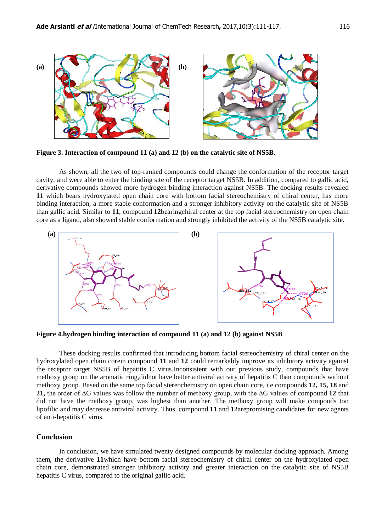

**Figure 3. Interaction of compound 11 (a) and 12 (b) on the catalytic site of NS5B.**

As shown, all the two of top-ranked compounds could change the conformation of the receptor target cavity, and were able to enter the binding site of the receptor target NS5B. In addition, compared to gallic acid, derivative compounds showed more hydrogen binding interaction against NS5B. The docking results revealed **11** which bears hydroxylated open chain core with bottom facial stereochemistry of chiral center, has more binding interaction, a more stable conformation and a stronger inhibitory activity on the catalytic site of NS5B than gallic acid. Similar to **11**, compound **12**bearingchiral center at the top facial stereochemistry on open chain core as a ligand, also showed stable conformation and strongly inhibited the activity of the NS5B catalytic site.



**Figure 4.hydrogen binding interaction of compound 11 (a) and 12 (b) against NS5B**

These docking results confirmed that introducing bottom facial stereochemistry of chiral center on the hydroxylated open chain corein compound **11** and **12** could remarkably improve its inhibitory activity against the receptor target NS5B of hepatitis C virus.Inconsistent with our previous study, compounds that have methoxy group on the aromatic ring,didnot have better antiviral activity of hepatitis C than compounds without methoxy group. Based on the same top facial stereochemistry on open chain core, i.e compounds **12, 15, 18** and **21,** the order of ∆G values was follow the number of methoxy group, with the ∆G values of compound **12** that did not have the methoxy group, was highest than another. The methoxy group will make compouds too lipofilic and may decrease antiviral activity. Thus, compound **11** and **12**arepromising candidates for new agents of anti-hepatitis C virus.

#### **Conclusion**

In conclusion, we have simulated twenty designed compounds by molecular docking approach. Among them, the derivative **11**which have bottom facial stereochemistry of chiral center on the hydroxylated open chain core, demonstrated stronger inhibitory activity and greater interaction on the catalytic site of NS5B hepatitis C virus, compared to the original gallic acid.